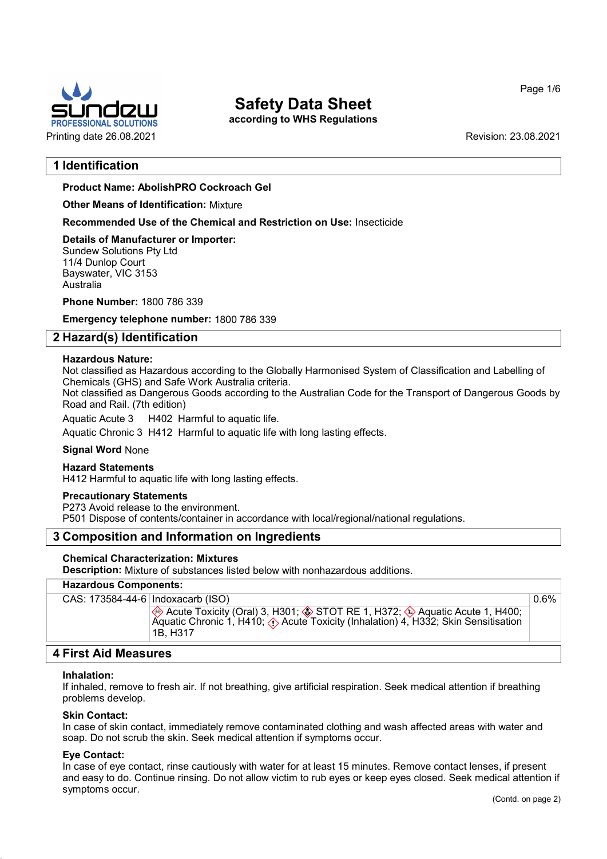

according to WHS Regulations

Page 1/6

# 1 Identification

Product Name: AbolishPRO Cockroach Gel

Other Means of Identification: Mixture

Recommended Use of the Chemical and Restriction on Use: Insecticide

Details of Manufacturer or Importer: Sundew Solutions Pty Ltd 11/4 Dunlop Court Bayswater, VIC 3153 Australia

Phone Number: 1800 786 339

Emergency telephone number: 1800 786 339

## 2 Hazard(s) Identification

#### Hazardous Nature:

Not classified as Hazardous according to the Globally Harmonised System of Classification and Labelling of Chemicals (GHS) and Safe Work Australia criteria.

Not classified as Dangerous Goods according to the Australian Code for the Transport of Dangerous Goods by Road and Rail. (7th edition)

Aquatic Acute 3 H402 Harmful to aquatic life.

Aquatic Chronic 3 H412 Harmful to aquatic life with long lasting effects.

#### Signal Word None

#### Hazard Statements

H412 Harmful to aquatic life with long lasting effects.

## Precautionary Statements

P273 Avoid release to the environment.

P501 Dispose of contents/container in accordance with local/regional/national regulations.

## 3 Composition and Information on Ingredients

#### Chemical Characterization: Mixtures

Description: Mixture of substances listed below with nonhazardous additions.

#### Hazardous Components:

| Acute Toxicity (Oral) 3, H301; ♦ STOT RE 1, H372; ♦ Aquatic Acute 1, H400;<br>Aquatic Chronic 1, H410; $\langle \cdot \rangle$ Acute Toxicity (Inhalation) 4, H332; Skin Sensitisation | CAS: 173584-44-6   Indoxacarb (ISO) |  |  |
|----------------------------------------------------------------------------------------------------------------------------------------------------------------------------------------|-------------------------------------|--|--|
| 1B. H317                                                                                                                                                                               |                                     |  |  |

# 4 First Aid Measures

#### Inhalation:

If inhaled, remove to fresh air. If not breathing, give artificial respiration. Seek medical attention if breathing problems develop.

#### Skin Contact:

In case of skin contact, immediately remove contaminated clothing and wash affected areas with water and soap. Do not scrub the skin. Seek medical attention if symptoms occur.

#### Eye Contact:

52.0

In case of eye contact, rinse cautiously with water for at least 15 minutes. Remove contact lenses, if present and easy to do. Continue rinsing. Do not allow victim to rub eyes or keep eyes closed. Seek medical attention if symptoms occur.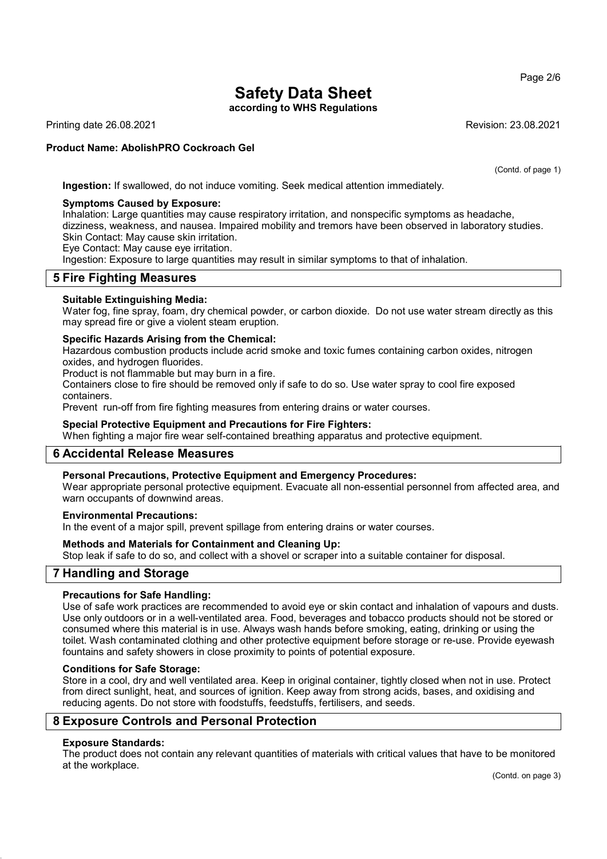according to WHS Regulations

Printing date 26.08.2021 Revision: 23.08.2021

### Product Name: AbolishPRO Cockroach Gel

(Contd. of page 1)

Ingestion: If swallowed, do not induce vomiting. Seek medical attention immediately.

#### Symptoms Caused by Exposure:

Inhalation: Large quantities may cause respiratory irritation, and nonspecific symptoms as headache, dizziness, weakness, and nausea. Impaired mobility and tremors have been observed in laboratory studies. Skin Contact: May cause skin irritation.

Eye Contact: May cause eye irritation.

Ingestion: Exposure to large quantities may result in similar symptoms to that of inhalation.

# 5 Fire Fighting Measures

#### Suitable Extinguishing Media:

Water fog, fine spray, foam, dry chemical powder, or carbon dioxide. Do not use water stream directly as this may spread fire or give a violent steam eruption.

#### Specific Hazards Arising from the Chemical:

Hazardous combustion products include acrid smoke and toxic fumes containing carbon oxides, nitrogen oxides, and hydrogen fluorides.

Product is not flammable but may burn in a fire.

Containers close to fire should be removed only if safe to do so. Use water spray to cool fire exposed containers.

Prevent run-off from fire fighting measures from entering drains or water courses.

#### Special Protective Equipment and Precautions for Fire Fighters:

When fighting a major fire wear self-contained breathing apparatus and protective equipment.

# 6 Accidental Release Measures

#### Personal Precautions, Protective Equipment and Emergency Procedures:

Wear appropriate personal protective equipment. Evacuate all non-essential personnel from affected area, and warn occupants of downwind areas.

#### Environmental Precautions:

In the event of a major spill, prevent spillage from entering drains or water courses.

#### Methods and Materials for Containment and Cleaning Up:

Stop leak if safe to do so, and collect with a shovel or scraper into a suitable container for disposal.

## 7 Handling and Storage

## Precautions for Safe Handling:

Use of safe work practices are recommended to avoid eye or skin contact and inhalation of vapours and dusts. Use only outdoors or in a well-ventilated area. Food, beverages and tobacco products should not be stored or consumed where this material is in use. Always wash hands before smoking, eating, drinking or using the toilet. Wash contaminated clothing and other protective equipment before storage or re-use. Provide eyewash fountains and safety showers in close proximity to points of potential exposure.

#### Conditions for Safe Storage:

Store in a cool, dry and well ventilated area. Keep in original container, tightly closed when not in use. Protect from direct sunlight, heat, and sources of ignition. Keep away from strong acids, bases, and oxidising and reducing agents. Do not store with foodstuffs, feedstuffs, fertilisers, and seeds.

## 8 Exposure Controls and Personal Protection

### Exposure Standards:

52.0

The product does not contain any relevant quantities of materials with critical values that have to be monitored at the workplace.

Page 2/6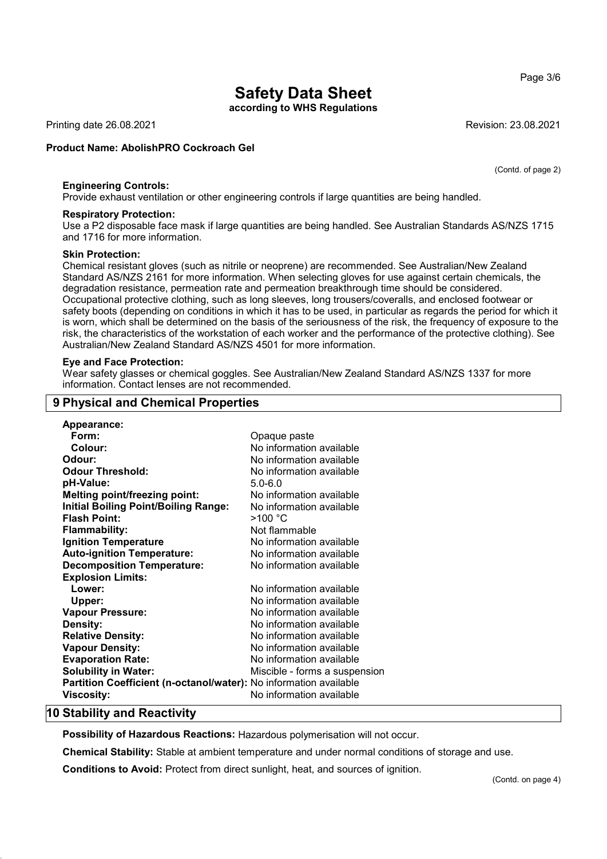according to WHS Regulations

Printing date 26.08.2021 Revision: 23.08.2021

#### Product Name: AbolishPRO Cockroach Gel

Engineering Controls:

Provide exhaust ventilation or other engineering controls if large quantities are being handled.

#### Respiratory Protection:

Use a P2 disposable face mask if large quantities are being handled. See Australian Standards AS/NZS 1715 and 1716 for more information.

#### Skin Protection:

Chemical resistant gloves (such as nitrile or neoprene) are recommended. See Australian/New Zealand Standard AS/NZS 2161 for more information. When selecting gloves for use against certain chemicals, the degradation resistance, permeation rate and permeation breakthrough time should be considered. Occupational protective clothing, such as long sleeves, long trousers/coveralls, and enclosed footwear or safety boots (depending on conditions in which it has to be used, in particular as regards the period for which it is worn, which shall be determined on the basis of the seriousness of the risk, the frequency of exposure to the risk, the characteristics of the workstation of each worker and the performance of the protective clothing). See Australian/New Zealand Standard AS/NZS 4501 for more information.

#### Eye and Face Protection:

Wear safety glasses or chemical goggles. See Australian/New Zealand Standard AS/NZS 1337 for more information. Contact lenses are not recommended.

# 9 Physical and Chemical Properties

| Appearance:                                                       |                               |
|-------------------------------------------------------------------|-------------------------------|
| Form:                                                             | Opaque paste                  |
| Colour:                                                           | No information available      |
| Odour:                                                            | No information available      |
| <b>Odour Threshold:</b>                                           | No information available      |
| pH-Value:                                                         | $5.0 - 6.0$                   |
| <b>Melting point/freezing point:</b>                              | No information available      |
| <b>Initial Boiling Point/Boiling Range:</b>                       | No information available      |
| <b>Flash Point:</b>                                               | >100 °C                       |
| <b>Flammability:</b>                                              | Not flammable                 |
| <b>Ignition Temperature</b>                                       | No information available      |
| <b>Auto-ignition Temperature:</b>                                 | No information available      |
| <b>Decomposition Temperature:</b>                                 | No information available      |
| <b>Explosion Limits:</b>                                          |                               |
| Lower:                                                            | No information available      |
| Upper:                                                            | No information available      |
| <b>Vapour Pressure:</b>                                           | No information available      |
| Density:                                                          | No information available      |
| <b>Relative Density:</b>                                          | No information available      |
| <b>Vapour Density:</b>                                            | No information available      |
| <b>Evaporation Rate:</b>                                          | No information available      |
| <b>Solubility in Water:</b>                                       | Miscible - forms a suspension |
| Partition Coefficient (n-octanol/water): No information available |                               |
| <b>Viscosity:</b>                                                 | No information available      |

## 10 Stability and Reactivity

52.0

Possibility of Hazardous Reactions: Hazardous polymerisation will not occur.

Chemical Stability: Stable at ambient temperature and under normal conditions of storage and use.

Conditions to Avoid: Protect from direct sunlight, heat, and sources of ignition.

Page 3/6

(Contd. of page 2)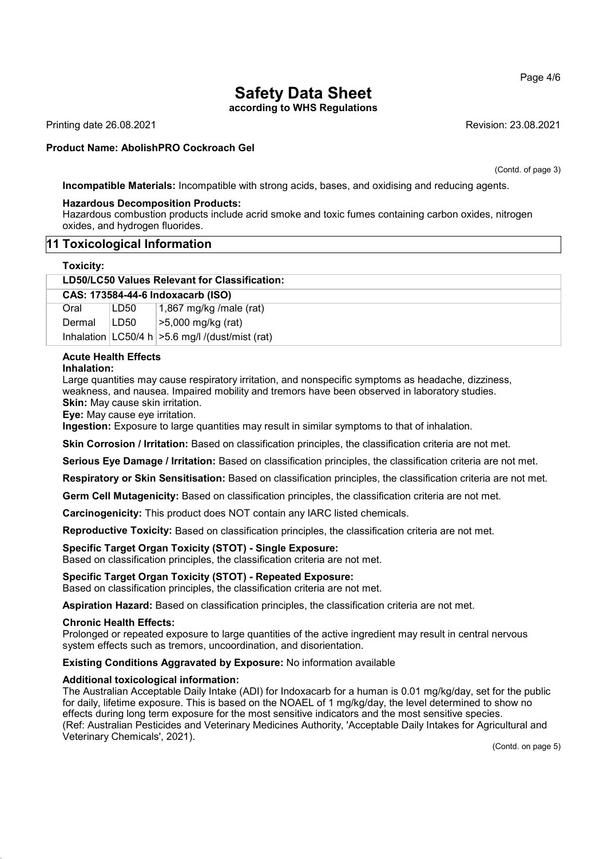according to WHS Regulations

Printing date 26.08.2021 Revision: 23.08.2021

#### Product Name: AbolishPRO Cockroach Gel

(Contd. of page 3)

Incompatible Materials: Incompatible with strong acids, bases, and oxidising and reducing agents.

#### Hazardous Decomposition Products:

Hazardous combustion products include acrid smoke and toxic fumes containing carbon oxides, nitrogen oxides, and hydrogen fluorides.

#### 11 Toxicological Information

#### Toxicity:

| LD50/LC50 Values Relevant for Classification: |  |
|-----------------------------------------------|--|
| CAS: 173584-44-6 Indoxacarb (ISO)             |  |

| Oral   | LD50 | 1,867 mg/kg /male (rat)                              |
|--------|------|------------------------------------------------------|
| Dermal | LD50 | $\mid$ >5,000 mg/kg (rat)                            |
|        |      | Inhalation $ LG50/4 h  > 5.6$ mg/l /(dust/mist (rat) |

# Acute Health Effects

Inhalation:

Large quantities may cause respiratory irritation, and nonspecific symptoms as headache, dizziness, weakness, and nausea. Impaired mobility and tremors have been observed in laboratory studies. Skin: May cause skin irritation.

Eye: May cause eye irritation.

Ingestion: Exposure to large quantities may result in similar symptoms to that of inhalation.

Skin Corrosion / Irritation: Based on classification principles, the classification criteria are not met.

Serious Eye Damage / Irritation: Based on classification principles, the classification criteria are not met.

Respiratory or Skin Sensitisation: Based on classification principles, the classification criteria are not met.

Germ Cell Mutagenicity: Based on classification principles, the classification criteria are not met.

Carcinogenicity: This product does NOT contain any IARC listed chemicals.

Reproductive Toxicity: Based on classification principles, the classification criteria are not met.

#### Specific Target Organ Toxicity (STOT) - Single Exposure:

Based on classification principles, the classification criteria are not met.

#### Specific Target Organ Toxicity (STOT) - Repeated Exposure:

Based on classification principles, the classification criteria are not met.

Aspiration Hazard: Based on classification principles, the classification criteria are not met.

#### Chronic Health Effects:

52.0

Prolonged or repeated exposure to large quantities of the active ingredient may result in central nervous system effects such as tremors, uncoordination, and disorientation.

#### Existing Conditions Aggravated by Exposure: No information available

#### Additional toxicological information:

The Australian Acceptable Daily Intake (ADI) for Indoxacarb for a human is 0.01 mg/kg/day, set for the public for daily, lifetime exposure. This is based on the NOAEL of 1 mg/kg/day, the level determined to show no effects during long term exposure for the most sensitive indicators and the most sensitive species. (Ref: Australian Pesticides and Veterinary Medicines Authority, 'Acceptable Daily Intakes for Agricultural and Veterinary Chemicals', 2021).

(Contd. on page 5)

Page 4/6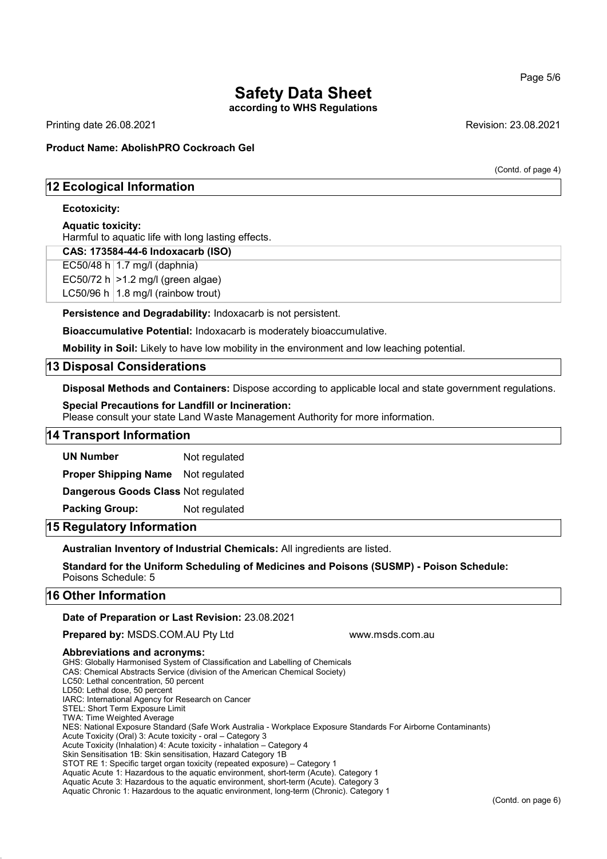according to WHS Regulations

Printing date 26.08.2021 Revision: 23.08.2021

(Contd. of page 4)

## Product Name: AbolishPRO Cockroach Gel

## 12 Ecological Information

### Ecotoxicity:

#### Aquatic toxicity:

Harmful to aquatic life with long lasting effects.

#### CAS: 173584-44-6 Indoxacarb (ISO)

EC50/48 h  $1.7$  mg/l (daphnia)

EC50/72 h  $>1.2$  mg/l (green algae)

LC50/96 h  $|1.8 \text{ mg/}1$  (rainbow trout)

Persistence and Degradability: Indoxacarb is not persistent.

Bioaccumulative Potential: Indoxacarb is moderately bioaccumulative.

Mobility in Soil: Likely to have low mobility in the environment and low leaching potential.

## 13 Disposal Considerations

Disposal Methods and Containers: Dispose according to applicable local and state government regulations.

#### Special Precautions for Landfill or Incineration:

Please consult your state Land Waste Management Authority for more information.

### 14 Transport Information

UN Number Not regulated

Proper Shipping Name Not regulated

Dangerous Goods Class Not regulated

Packing Group: Not regulated

## 15 Regulatory Information

Australian Inventory of Industrial Chemicals: All ingredients are listed.

Standard for the Uniform Scheduling of Medicines and Poisons (SUSMP) - Poison Schedule: Poisons Schedule: 5

## 16 Other Information

Date of Preparation or Last Revision: 23.08.2021

**Prepared by: MSDS.COM.AU Pty Ltd www.msds.com.au compared by: MSDS.COM.AU Pty Ltd** 

#### Abbreviations and acronyms:

GHS: Globally Harmonised System of Classification and Labelling of Chemicals

CAS: Chemical Abstracts Service (division of the American Chemical Society) LC50: Lethal concentration, 50 percent

LD50: Lethal dose, 50 percent

IARC: International Agency for Research on Cancer

STEL: Short Term Exposure Limit

TWA: Time Weighted Average

52.0

NES: National Exposure Standard (Safe Work Australia - Workplace Exposure Standards For Airborne Contaminants)

Acute Toxicity (Oral) 3: Acute toxicity - oral – Category 3

Acute Toxicity (Inhalation) 4: Acute toxicity - inhalation – Category 4

Skin Sensitisation 1B: Skin sensitisation, Hazard Category 1B

STOT RE 1: Specific target organ toxicity (repeated exposure) – Category 1

Aquatic Acute 1: Hazardous to the aquatic environment, short-term (Acute). Category 1

Aquatic Acute 3: Hazardous to the aquatic environment, short-term (Acute). Category 3